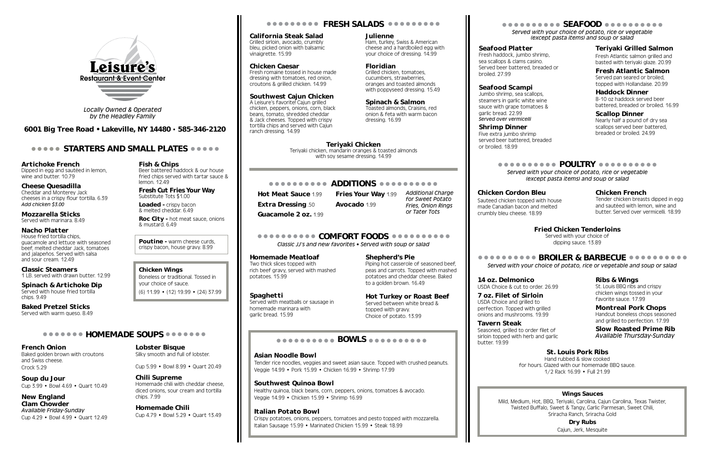Artichoke French Dipped in egg and sautéed in lemon, wine and butter. 10.79

Cheese Quesadilla Cheddar and Monterey Jack cheeses in a crispy flour tortilla. 6.39 *Add chicken \$3.00*

Mozzarella Sticks Served with marinara. 8.49

### Nacho Platter

House fried tortilla chips, guacamole and lettuce with seasoned beef, melted cheddar Jack, tomatoes and jalapeños. Served with salsa and sour cream. 12.49

Loaded - crispy bacon & melted cheddar. 6.49

Roc City - hot meat sauce, onions & mustard. 6.49

Classic Steamers 1 LB. served with drawn butter. 12.99

Poutine - warm cheese curds. crispy bacon, house gravy. 8.99

Spinach & Artichoke Dip Served with house fried tortilla chips. 9.49

Baked Pretzel Sticks Served with warm queso. 8.49

### **ODDOOOO HOMEMADE SOUPS OOOOOOO**

Fish & Chips Beer battered haddock & our house fried chips served with tartar sauce & lemon. 12.49

Fresh Cut Fries Your Way Substitute Tots \$1.00

### Chicken Wings Boneless or traditional. Tossed in

A Leisure's favorite! Cajun grilled chicken, peppers, onions, corn, black beans, tomato, shredded cheddar & Jack cheeses. Topped with crispy tortilla chips and served with Cajun ranch dressing. 14.99

your choice of sauce. (6) 11.99 • (12) 19.99 • (24) 37.99

French Onion

Baked golden brown with croutons and Swiss cheese. Crock 5.29

Soup du Jour Cup 3.99 • Bowl 4.69 • Quart 10.49

New England Clam Chowder *Available Friday-Sunday* Cup 4.29 • Bowl 4.99 • Quart 12.49 **ODDODODOD COMFORT FOODS ODDODODODO** *Classic JJ's and new favorites • Served with soup or salad*

Lobster Bisque Silky smooth and full of lobster.

Cup 5.99 • Bowl 8.99 • Quart 20.49

Chili Supreme Homemade chili with cheddar cheese, diced onions, sour cream and tortilla chips. 7.99

Homemade Chili Cup 4.79 • Bowl 5.29 • Quart 13.49

# **COODOOOOO FRESH SALADS OOOOOOOOO**

California Steak Salad Grilled sirloin, avocado, crumbly

bleu, picked onion with balsamic vinaigrette. 15.99

Chicken Caesar Fresh romaine tossed in house made dressing with tomatoes, red onion, croutons & grilled chicken. 14.99

Southwest Cajun Chicken

### Julienne

Ham, turkey, Swiss & American cheese and a hardboiled egg with your choice of dressing. 14.99

### Floridian

Grilled chicken, tomatoes, cucumbers, strawberries, oranges and toasted almonds with poppyseed dressing. 15.49

Spinach & Salmon Toasted almonds, Craisins, red onion & feta with warm bacon dressing. 16.99

### ADDITIONS

Hot Meat Sauce 1.99 Fries Your Way 1.99 Extra Dressing .50 Avocado 1.99 Guacamole 2 oz. 1.99

### Homemade Meatloaf

Two thick slices topped with rich beef gravy, served with mashed potatoes. 15.99

### Spaghetti

Served with meatballs or sausage in homemade marinara with garlic bread. 15.99

# **BOWLS**

Shepherd's Pie

Piping hot casserole of seasoned beef, peas and carrots. Topped with mashed potatoes and cheddar cheese. Baked

to a golden brown. 16.49

Hot Turkey or Roast Beef Served between white bread &

topped with gravy. Choice of potato. 13.99

### Asian Noodle Bowl

Tender rice noodles, veggies and sweet asian sauce. Topped with crushed peanuts. Veggie 14.99 • Pork 15.99 • Chicken 16.99 • Shrimp 17.99

### Southwest Quinoa Bowl

Healthy quinoa, black beans, corn, peppers, onions, tomatoes & avocado. Veggie 14.99 • Chicken 15.99 • Shrimp 16.99

### Italian Potato Bowl

Crispy potatoes, onions, peppers, tomatoes and pesto topped with mozzarella. Italian Sausage 15.99 • Marinated Chicken 15.99 • Steak 18.99

*Served with your choice of potato, rice or vegetable and soup or salad*

## Ribs & Wings

St. Louis BBQ ribs and crispy chicken wings tossed in your favorite sauce. 17.99

## Montreal Pork Chops

Handcut boneless chops seasoned and grilled to perfection. 17.99

Slow Roasted Prime Rib *Available Thursday-Sunday*

*Additional Charge for Sweet Potato or Tater Tots*

*Fries, Onion Rings* 

*Served with your choice of potato, rice or vegetable (except pasta items) and soup or salad*

# Seafood Platter

Fresh haddock, jumbo shrimp, sea scallops & clams casino. Served beer battered, breaded or broiled. 27.99

# Seafood Scampi

Jumbo shrimp, sea scallops, steamers in garlic white wine sauce with grape tomatoes & garlic bread. 22.99 *Served over vermicelli*

# Shrimp Dinner

Five extra jumbo shrimp served beer battered, breaded or broiled. 18.99

# secondores SEAFOOD concertation

# Teriyaki Grilled Salmon

Fresh Atlantic salmon grilled and basted with teriyaki glaze. 20.99

# Fresh Atlantic Salmon

Served pan seared or broiled, topped with Hollandaise. 20.99

### Haddock Dinner

8-10 oz haddock served beer battered, breaded or broiled. 16.99

## Scallop Dinner

Nearly half a pound of dry sea scallops served beer battered, breaded or broiled. 24.99

# essesses en POULTRY essessesses

# Chicken Cordon Bleu

Sauteed chicken topped with house made Canadian bacon and melted crumbly bleu cheese. 18.99

### Chicken French

Tender chicken breasts dipped in egg and sautéed with lemon, wine and butter. Served over vermicelli. 18.99

*Served with your choice of potato, rice or vegetable (except pasta items) and soup or salad*



*Locally Owned & Operated by the Headley Family*

6001 Big Tree Road • Lakeville, NY 14480 • 585-346-2120

## **STARTERS AND SMALL PLATES STARTERS**

## Wings Sauces

Mild, Medium, Hot, BBQ, Teriyaki, Carolina, Cajun Carolina, Texas Twister, Twisted Buffalo, Sweet & Tangy, Garlic Parmesan, Sweet Chili, Sriracha Ranch, Sriracha Gold

Dry Rubs Cajun, Jerk, Mesquite

14 oz. Delmonico USDA Choice & cut to order. 26.99

7 oz. Filet of Sirloin USDA Choice and grilled to perfection. Topped with grilled onions and mushrooms. 19.99

Tavern Steak Seasoned, grilled to order filet of sirloin topped with herb and garlic butter. 19.99

## St. Louis Pork Ribs

Hand rubbed & slow cooked for hours. Glazed with our homemade BBQ sauce. 1/2 Rack 16.99 • Full 21.99

# Fried Chicken Tenderloins

Served with your choice of dipping sauce. 13.89

# **• BROILER & BARBECUE ••••••••••**

Teriyaki Chicken Teriyaki chicken, mandarin oranges & toasted almonds

with soy sesame dressing. 14.99